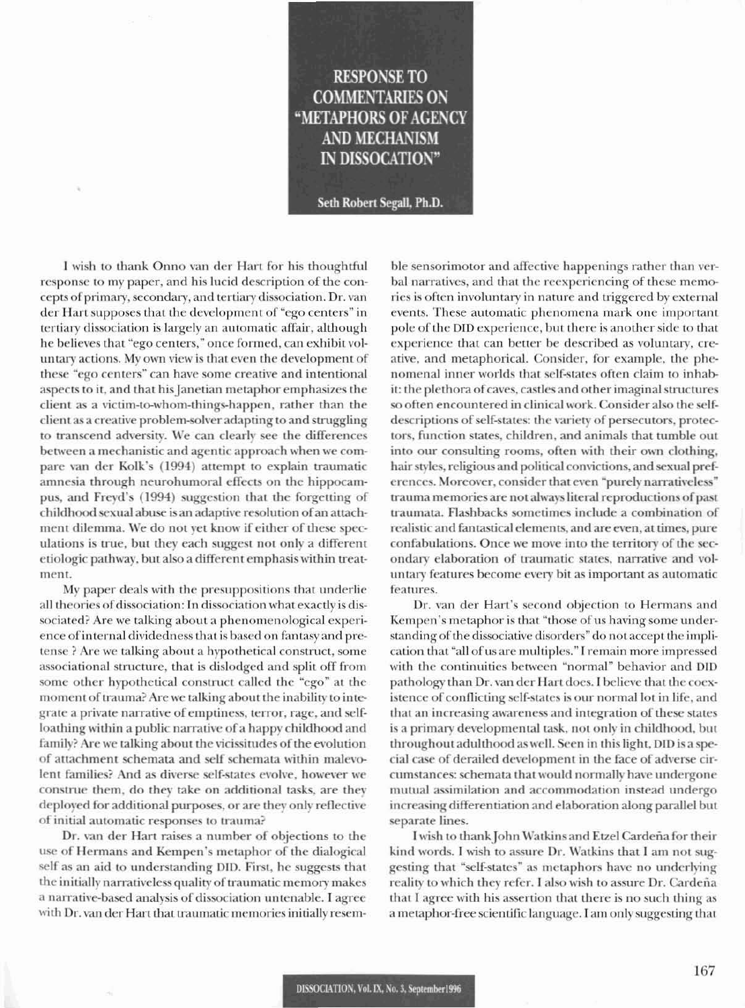## **RESPONSE TO COMMENTARIES ON** "METAPHORS OF AGENCY **AND MECHANISM** IN DISSOCATION"

Seth Robert Segall, Ph.D.

I wish to thank Onno van der Hart for his thoughtful response to my paper, and his lucid description of the concepts of primary, secondary, and tertiary dissociation. Dr. van der Hart supposes that the development of "ego centers" in tertiary dissociation is largely an automatic affair, although he believes that "ego centers," once formed, can exhibit voluntary actions. My own view is that even the development of these "ego centers" can have some creative and intentional aspects to it, and that his Janetian metaphor emphasizes the client as a victim-to-whom-things-happen, rather than the client as a creative problem-solver adapting to and struggling to transcend adversity. We can clearly see the differences between a mechanistic and agentic approach when we compare van der Kolk's (1994) attempt to explain traumatic amnesia through neurohumoral effects on the hippocampus, and Freyd's (1994) suggestion that the forgetting of childhood sexual abuse is an adaptive resolution of an attachment dilemma. We do not yet know if either of these speculations is true, but they each suggest not only a different etiologic pathway, but also a different emphasis within treatment.

My paper deals with the presuppositions that underlie all theories of dissociation: In dissociation what exactly is dissociated? Are we talking about a phenomenological experience of internal dividedness that is based on fantasy and pretense? Are we talking about a hypothetical construct, some associational structure, that is dislodged and split off from some other hypothetical construct called the "ego" at the moment of trauma? Are we talking about the inability to integrate a private narrative of emptiness, terror, rage, and selfloathing within a public narrative of a happy childhood and family? Are we talking about the vicissitudes of the evolution of attachment schemata and self schemata within malevolent families? And as diverse self-states evolve, however we construe them, do they take on additional tasks, are they deployed for additional purposes, or are they only reflective of initial automatic responses to trauma?

Dr. van der Hart raises a number of objections to the use of Hermans and Kempen's metaphor of the dialogical self as an aid to understanding DID. First, he suggests that the initially narrativeless quality of traumatic memory makes a narrative-based analysis of dissociation untenable. I agree with Dr. van der Hart that traumatic memories initially resemble sensorimotor and affective happenings rather than verbal narratives, and that the reexperiencing of these memories is often involuntary in nature and triggered by external events. These automatic phenomena mark one important pole of the DID experience, but there is another side to that experience that can better be described as voluntary, creative, and metaphorical. Consider, for example, the phenomenal inner worlds that self-states often claim to inhabit: the plethora of caves, castles and other imaginal structures so often encountered in clinical work. Consider also the selfdescriptions of self-states: the variety of persecutors, protectors, function states, children, and animals that tumble out into our consulting rooms, often with their own clothing, hair styles, religious and political convictions, and sexual preferences. Moreover, consider that even "purely narrativeless" trauma memories are not always literal reproductions of past traumata. Flashbacks sometimes include a combination of realistic and fantastical elements, and are even, at times, pure confabulations. Once we move into the territory of the secondary elaboration of traumatic states, narrative and voluntary features become every bit as important as automatic features.

Dr. van der Hart's second objection to Hermans and Kempen's metaphor is that "those of us having some understanding of the dissociative disorders" do not accept the implication that "all of us are multiples." I remain more impressed with the continuities between "normal" behavior and DID pathology than Dr. van der Hart does. I believe that the coexistence of conflicting self-states is our normal lot in life, and that an increasing awareness and integration of these states is a primary developmental task, not only in childhood, but throughout adulthood as well. Seen in this light, DID is a special case of derailed development in the face of adverse circumstances: schemata that would normally have undergone mutual assimilation and accommodation instead undergo increasing differentiation and elaboration along parallel but separate lines.

I wish to thank John Watkins and Etzel Cardeña for their kind words. I wish to assure Dr. Watkins that I am not suggesting that "self-states" as metaphors have no underlying reality to which they refer. I also wish to assure Dr. Cardeña that I agree with his assertion that there is no such thing as a metaphor-free scientific language. I am only suggesting that